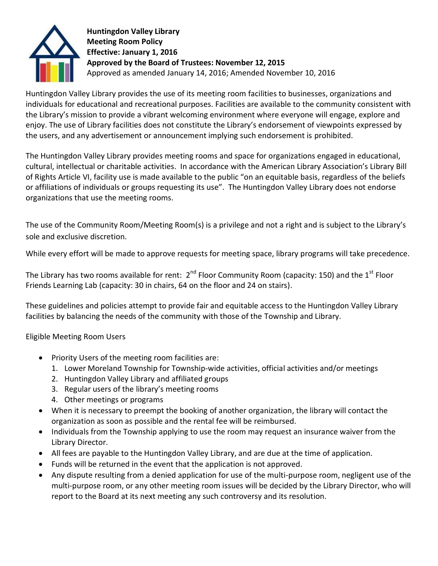

**Huntingdon Valley Library Meeting Room Policy Effective: January 1, 2016 Approved by the Board of Trustees: November 12, 2015** Approved as amended January 14, 2016; Amended November 10, 2016

Huntingdon Valley Library provides the use of its meeting room facilities to businesses, organizations and individuals for educational and recreational purposes. Facilities are available to the community consistent with the Library's mission to provide a vibrant welcoming environment where everyone will engage, explore and enjoy. The use of Library facilities does not constitute the Library's endorsement of viewpoints expressed by the users, and any advertisement or announcement implying such endorsement is prohibited.

The Huntingdon Valley Library provides meeting rooms and space for organizations engaged in educational, cultural, intellectual or charitable activities. In accordance with the American Library Association's Library Bill of Rights Article VI, facility use is made available to the public "on an equitable basis, regardless of the beliefs or affiliations of individuals or groups requesting its use". The Huntingdon Valley Library does not endorse organizations that use the meeting rooms.

The use of the Community Room/Meeting Room(s) is a privilege and not a right and is subject to the Library's sole and exclusive discretion.

While every effort will be made to approve requests for meeting space, library programs will take precedence.

The Library has two rooms available for rent:  $2^{nd}$  Floor Community Room (capacity: 150) and the  $1^{\text{st}}$  Floor Friends Learning Lab (capacity: 30 in chairs, 64 on the floor and 24 on stairs).

These guidelines and policies attempt to provide fair and equitable access to the Huntingdon Valley Library facilities by balancing the needs of the community with those of the Township and Library.

Eligible Meeting Room Users

- Priority Users of the meeting room facilities are:
	- 1. Lower Moreland Township for Township-wide activities, official activities and/or meetings
	- 2. Huntingdon Valley Library and affiliated groups
	- 3. Regular users of the library's meeting rooms
	- 4. Other meetings or programs
- When it is necessary to preempt the booking of another organization, the library will contact the organization as soon as possible and the rental fee will be reimbursed.
- Individuals from the Township applying to use the room may request an insurance waiver from the Library Director.
- All fees are payable to the Huntingdon Valley Library, and are due at the time of application.
- Funds will be returned in the event that the application is not approved.
- Any dispute resulting from a denied application for use of the multi-purpose room, negligent use of the multi-purpose room, or any other meeting room issues will be decided by the Library Director, who will report to the Board at its next meeting any such controversy and its resolution.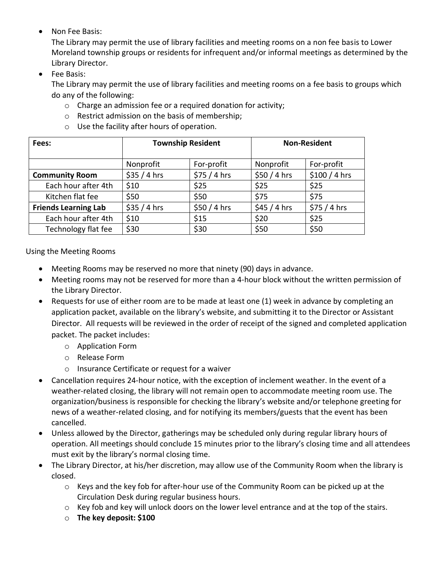Non Fee Basis:

The Library may permit the use of library facilities and meeting rooms on a non fee basis to Lower Moreland township groups or residents for infrequent and/or informal meetings as determined by the Library Director.

• Fee Basis:

The Library may permit the use of library facilities and meeting rooms on a fee basis to groups which do any of the following:

- o Charge an admission fee or a required donation for activity;
- o Restrict admission on the basis of membership;
- o Use the facility after hours of operation.

| Fees:                       | <b>Township Resident</b> |              | <b>Non-Resident</b> |                |
|-----------------------------|--------------------------|--------------|---------------------|----------------|
|                             | Nonprofit                | For-profit   | Nonprofit           | For-profit     |
| <b>Community Room</b>       | \$35/4 hrs               | \$75/4 hrs   | \$50 / 4 hrs        | $$100 / 4$ hrs |
| Each hour after 4th         | \$10                     | \$25         | \$25                | \$25           |
| Kitchen flat fee            | \$50                     | \$50         | \$75                | \$75           |
| <b>Friends Learning Lab</b> | $$35/4$ hrs              | \$50 / 4 hrs | $$45/4$ hrs         | \$75/4 hrs     |
| Each hour after 4th         | \$10                     | \$15         | \$20                | \$25           |
| Technology flat fee         | \$30                     | \$30         | \$50                | \$50           |

Using the Meeting Rooms

- Meeting Rooms may be reserved no more that ninety (90) days in advance.
- Meeting rooms may not be reserved for more than a 4-hour block without the written permission of the Library Director.
- Requests for use of either room are to be made at least one (1) week in advance by completing an application packet, available on the library's website, and submitting it to the Director or Assistant Director. All requests will be reviewed in the order of receipt of the signed and completed application packet. The packet includes:
	- o Application Form
	- o Release Form
	- o Insurance Certificate or request for a waiver
- Cancellation requires 24-hour notice, with the exception of inclement weather. In the event of a weather-related closing, the library will not remain open to accommodate meeting room use. The organization/business is responsible for checking the library's website and/or telephone greeting for news of a weather-related closing, and for notifying its members/guests that the event has been cancelled.
- Unless allowed by the Director, gatherings may be scheduled only during regular library hours of operation. All meetings should conclude 15 minutes prior to the library's closing time and all attendees must exit by the library's normal closing time.
- The Library Director, at his/her discretion, may allow use of the Community Room when the library is closed.
	- $\circ$  Keys and the key fob for after-hour use of the Community Room can be picked up at the Circulation Desk during regular business hours.
	- $\circ$  Key fob and key will unlock doors on the lower level entrance and at the top of the stairs.
	- o **The key deposit: \$100**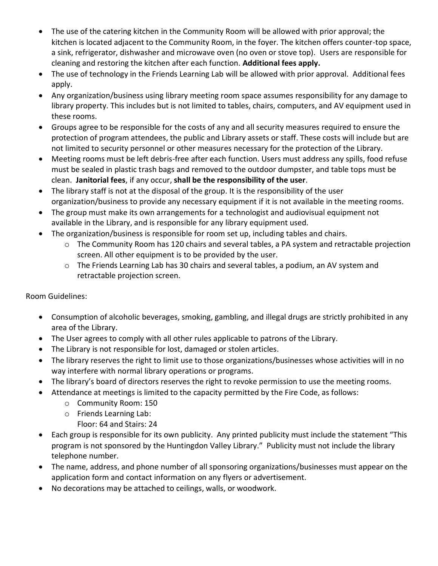- The use of the catering kitchen in the Community Room will be allowed with prior approval; the kitchen is located adjacent to the Community Room, in the foyer. The kitchen offers counter-top space, a sink, refrigerator, dishwasher and microwave oven (no oven or stove top). Users are responsible for cleaning and restoring the kitchen after each function. **Additional fees apply.**
- The use of technology in the Friends Learning Lab will be allowed with prior approval. Additional fees apply.
- Any organization/business using library meeting room space assumes responsibility for any damage to library property. This includes but is not limited to tables, chairs, computers, and AV equipment used in these rooms.
- Groups agree to be responsible for the costs of any and all security measures required to ensure the protection of program attendees, the public and Library assets or staff. These costs will include but are not limited to security personnel or other measures necessary for the protection of the Library.
- Meeting rooms must be left debris-free after each function. Users must address any spills, food refuse must be sealed in plastic trash bags and removed to the outdoor dumpster, and table tops must be clean. **Janitorial fees**, if any occur, **shall be the responsibility of the user**.
- The library staff is not at the disposal of the group. It is the responsibility of the user organization/business to provide any necessary equipment if it is not available in the meeting rooms.
- The group must make its own arrangements for a technologist and audiovisual equipment not available in the Library, and is responsible for any library equipment used.
- The organization/business is responsible for room set up, including tables and chairs.
	- o The Community Room has 120 chairs and several tables, a PA system and retractable projection screen. All other equipment is to be provided by the user.
	- o The Friends Learning Lab has 30 chairs and several tables, a podium, an AV system and retractable projection screen.

Room Guidelines:

- Consumption of alcoholic beverages, smoking, gambling, and illegal drugs are strictly prohibited in any area of the Library.
- The User agrees to comply with all other rules applicable to patrons of the Library.
- The Library is not responsible for lost, damaged or stolen articles.
- The library reserves the right to limit use to those organizations/businesses whose activities will in no way interfere with normal library operations or programs.
- The library's board of directors reserves the right to revoke permission to use the meeting rooms.
- Attendance at meetings is limited to the capacity permitted by the Fire Code, as follows:
	- o Community Room: 150
	- o Friends Learning Lab:
		- Floor: 64 and Stairs: 24
- Each group is responsible for its own publicity. Any printed publicity must include the statement "This program is not sponsored by the Huntingdon Valley Library." Publicity must not include the library telephone number.
- The name, address, and phone number of all sponsoring organizations/businesses must appear on the application form and contact information on any flyers or advertisement.
- No decorations may be attached to ceilings, walls, or woodwork.